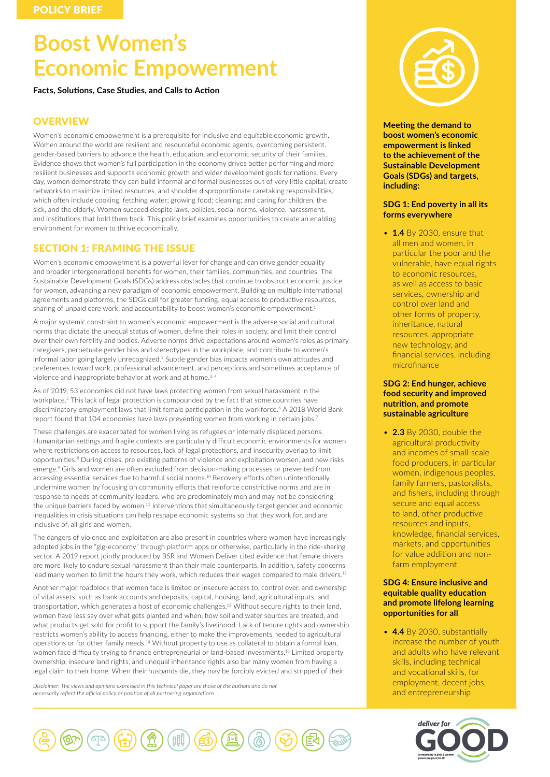# **Boost Women's Economic Empowerment**

**Facts, Solutions, Case Studies, and Calls to Action**

# **OVERVIEW**

Women's economic empowerment is a prerequisite for inclusive and equitable economic growth. Women around the world are resilient and resourceful economic agents, overcoming persistent, gender-based barriers to advance the health, education, and economic security of their families. Evidence shows that women's full participation in the economy drives better performing and more resilient businesses and supports economic growth and wider development goals for nations. Every day, women demonstrate they can build informal and formal businesses out of very little capital, create networks to maximize limited resources, and shoulder disproportionate caretaking responsibilities, which often include cooking; fetching water; growing food; cleaning; and caring for children, the sick, and the elderly. Women succeed despite laws, policies, social norms, violence, harassment, and institutions that hold them back. This policy brief examines opportunities to create an enabling environment for women to thrive economically.

# SECTION 1: FRAMING THE ISSUE

Women's economic empowerment is a powerful lever for change and can drive gender equality and broader intergenerational benefits for women, their families, communities, and countries. The Sustainable Development Goals (SDGs) address obstacles that continue to obstruct economic justice for women, advancing a new paradigm of economic empowerment. Building on multiple international agreements and platforms, the SDGs call for greater funding, equal access to productive resources, sharing of unpaid care work, and accountability to boost women's economic empowerment.<sup>1</sup>

A major systemic constraint to women's economic empowerment is the adverse social and cultural norms that dictate the unequal status of women, define their roles in society, and limit their control over their own fertility and bodies. Adverse norms drive expectations around women's roles as primary caregivers, perpetuate gender bias and stereotypes in the workplace, and contribute to women's informal labor going largely unrecognized.2 Subtle gender bias impacts women's own attitudes and preferences toward work, professional advancement, and perceptions and sometimes acceptance of violence and inappropriate behavior at work and at home.<sup>3, 4</sup>

As of 2019, 53 economies did not have laws protecting women from sexual harassment in the workplace.<sup>5</sup> This lack of legal protection is compounded by the fact that some countries have discriminatory employment laws that limit female participation in the workforce.<sup>6</sup> A 2018 World Bank report found that 104 economies have laws preventing women from working in certain jobs.<sup>7</sup>

These challenges are exacerbated for women living as refugees or internally displaced persons. Humanitarian settings and fragile contexts are particularly difficult economic environments for women where restrictions on access to resources, lack of legal protections, and insecurity overlap to limit opportunities.8 During crises, pre existing patterns of violence and exploitation worsen, and new risks emerge.9 Girls and women are often excluded from decision-making processes or prevented from accessing essential services due to harmful social norms.10 Recovery efforts often unintentionally undermine women by focusing on community efforts that reinforce constrictive norms and are in response to needs of community leaders, who are predominately men and may not be considering the unique barriers faced by women.<sup>11</sup> Interventions that simultaneously target gender and economic inequalities in crisis situations can help reshape economic systems so that they work for, and are inclusive of, all girls and women.

The dangers of violence and exploitation are also present in countries where women have increasingly adopted jobs in the "gig-economy" through platform apps or otherwise, particularly in the ride-sharing sector. A 2019 report jointly produced by BSR and Women Deliver cited evidence that female drivers are more likely to endure sexual harassment than their male counterparts. In addition, safety concerns lead many women to limit the hours they work, which reduces their wages compared to male drivers.<sup>12</sup>

Another major roadblock that women face is limited or insecure access to, control over, and ownership of vital assets, such as bank accounts and deposits, capital, housing, land, agricultural inputs, and transportation, which generates a host of economic challenges.13 Without secure rights to their land, women have less say over what gets planted and when, how soil and water sources are treated, and what products get sold for profit to support the family's livelihood. Lack of tenure rights and ownership restricts women's ability to access financing, either to make the improvements needed to agricultural operations or for other family needs.14 Without property to use as collateral to obtain a formal loan, women face difficulty trying to finance entrepreneurial or land-based investments.<sup>15</sup> Limited property ownership, insecure land rights, and unequal inheritance rights also bar many women from having a legal claim to their home. When their husbands die, they may be forcibly evicted and stripped of their

*Disclaimer: The views and opinions expressed in this technical paper are those of the authors and do not necessarily reflect the official policy or position of all partnering organizations.*





**Meeting the demand to boost women's economic empowerment is linked to the achievement of the Sustainable Development Goals (SDGs) and targets, including:**

# **SDG 1: End poverty in all its forms everywhere**

• **1.4** By 2030, ensure that all men and women, in particular the poor and the vulnerable, have equal rights to economic resources, as well as access to basic services, ownership and control over land and other forms of property, inheritance, natural resources, appropriate new technology, and financial services, including microfinance

# **SDG 2: End hunger, achieve food security and improved nutrition, and promote sustainable agriculture**

• **2.3** By 2030, double the agricultural productivity and incomes of small-scale food producers, in particular women, indigenous peoples, family farmers, pastoralists, and fishers, including through secure and equal access to land, other productive resources and inputs, knowledge, financial services, markets, and opportunities for value addition and nonfarm employment

# **SDG 4: Ensure inclusive and equitable quality education and promote lifelong learning opportunities for all**

• **4.4** By 2030, substantially increase the number of youth and adults who have relevant skills, including technical and vocational skills, for employment, decent jobs, and entrepreneurship

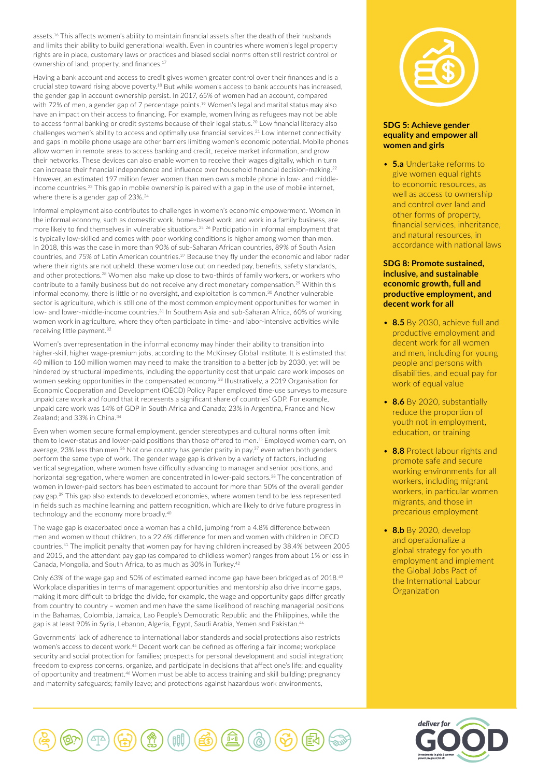assets.16 This affects women's ability to maintain financial assets after the death of their husbands and limits their ability to build generational wealth. Even in countries where women's legal property rights are in place, customary laws or practices and biased social norms often still restrict control or ownership of land, property, and finances.<sup>17</sup>

Having a bank account and access to credit gives women greater control over their finances and is a crucial step toward rising above poverty.18 But while women's access to bank accounts has increased, the gender gap in account ownership persist. In 2017, 65% of women had an account, compared with 72% of men, a gender gap of 7 percentage points.<sup>19</sup> Women's legal and marital status may also have an impact on their access to financing. For example, women living as refugees may not be able to access formal banking or credit systems because of their legal status.20 Low financial literacy also challenges women's ability to access and optimally use financial services.21 Low internet connectivity and gaps in mobile phone usage are other barriers limiting women's economic potential. Mobile phones allow women in remote areas to access banking and credit, receive market information, and grow their networks. These devices can also enable women to receive their wages digitally, which in turn can increase their financial independence and influence over household financial decision-making.<sup>22</sup> However, an estimated 197 million fewer women than men own a mobile phone in low- and middleincome countries.<sup>23</sup> This gap in mobile ownership is paired with a gap in the use of mobile internet, where there is a gender gap of 23%.<sup>24</sup>

Informal employment also contributes to challenges in women's economic empowerment. Women in the informal economy, such as domestic work, home-based work, and work in a family business, are more likely to find themselves in vulnerable situations.25, 26 Participation in informal employment that is typically low-skilled and comes with poor working conditions is higher among women than men. In 2018, this was the case in more than 90% of sub-Saharan African countries, 89% of South Asian countries, and 75% of Latin American countries.<sup>27</sup> Because they fly under the economic and labor radar where their rights are not upheld, these women lose out on needed pay, benefits, safety standards, and other protections.<sup>28</sup> Women also make up close to two-thirds of family workers, or workers who contribute to a family business but do not receive any direct monetary compensation.<sup>29</sup> Within this informal economy, there is little or no oversight, and exploitation is common.<sup>30</sup> Another vulnerable sector is agriculture, which is still one of the most common employment opportunities for women in low- and lower-middle-income countries.<sup>31</sup> In Southern Asia and sub-Saharan Africa, 60% of working women work in agriculture, where they often participate in time- and labor-intensive activities while receiving little payment.<sup>32</sup>

Women's overrepresentation in the informal economy may hinder their ability to transition into higher-skill, higher wage-premium jobs, according to the McKinsey Global Institute. It is estimated that 40 million to 160 million women may need to make the transition to a better job by 2030, yet will be hindered by structural impediments, including the opportunity cost that unpaid care work imposes on women seeking opportunities in the compensated economy.<sup>33</sup> Illustratively, a 2019 Organisation for Economic Cooperation and Development (OECD) Policy Paper employed time-use surveys to measure unpaid care work and found that it represents a significant share of countries' GDP. For example, unpaid care work was 14% of GDP in South Africa and Canada; 23% in Argentina, France and New Zealand; and 33% in China.<sup>34</sup>

Even when women secure formal employment, gender stereotypes and cultural norms often limit them to lower-status and lower-paid positions than those offered to men.<sup>35</sup> Employed women earn, on average, 23% less than men.<sup>36</sup> Not one country has gender parity in pay,<sup>37</sup> even when both genders perform the same type of work. The gender wage gap is driven by a variety of factors, including vertical segregation, where women have difficulty advancing to manager and senior positions, and horizontal segregation, where women are concentrated in lower-paid sectors.<sup>38</sup> The concentration of women in lower-paid sectors has been estimated to account for more than 50% of the overall gender pay gap.<sup>39</sup> This gap also extends to developed economies, where women tend to be less represented in fields such as machine learning and pattern recognition, which are likely to drive future progress in technology and the economy more broadly.<sup>40</sup>

The wage gap is exacerbated once a woman has a child, jumping from a 4.8% difference between men and women without children, to a 22.6% difference for men and women with children in OECD countries.41 The implicit penalty that women pay for having children increased by 38.4% between 2005 and 2015, and the attendant pay gap (as compared to childless women) ranges from about 1% or less in Canada, Mongolia, and South Africa, to as much as 30% in Turkey.<sup>42</sup>

Only 63% of the wage gap and 50% of estimated earned income gap have been bridged as of 2018.<sup>43</sup> Workplace disparities in terms of management opportunities and mentorship also drive income gaps, making it more difficult to bridge the divide, for example, the wage and opportunity gaps differ greatly from country to country – women and men have the same likelihood of reaching managerial positions in the Bahamas, Colombia, Jamaica, Lao People's Democratic Republic and the Philippines, while the gap is at least 90% in Syria, Lebanon, Algeria, Egypt, Saudi Arabia, Yemen and Pakistan.<sup>44</sup>

Governments' lack of adherence to international labor standards and social protections also restricts women's access to decent work.45 Decent work can be defined as offering a fair income; workplace security and social protection for families; prospects for personal development and social integration; freedom to express concerns, organize, and participate in decisions that affect one's life; and equality of opportunity and treatment.46 Women must be able to access training and skill building; pregnancy and maternity safeguards; family leave; and protections against hazardous work environments,



# **SDG 5: Achieve gender equality and empower all women and girls**

• **5.a** Undertake reforms to give women equal rights to economic resources, as well as access to ownership and control over land and other forms of property, financial services, inheritance, and natural resources, in accordance with national laws

# **SDG 8: Promote sustained, inclusive, and sustainable economic growth, full and productive employment, and decent work for all**

- **8.5** By 2030, achieve full and productive employment and decent work for all women and men, including for young people and persons with disabilities, and equal pay for work of equal value
- **8.6** By 2020, substantially reduce the proportion of youth not in employment, education, or training
- **8.8** Protect labour rights and promote safe and secure working environments for all workers, including migrant workers, in particular women migrants, and those in precarious employment
- **8.b** By 2020, develop and operationalize a global strategy for youth employment and implement the Global Jobs Pact of the International Labour **Organization**



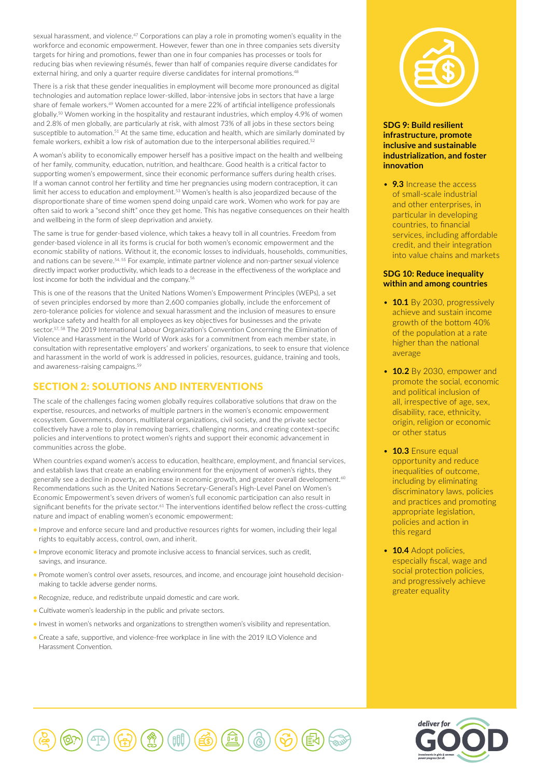sexual harassment, and violence.<sup>47</sup> Corporations can play a role in promoting women's equality in the workforce and economic empowerment. However, fewer than one in three companies sets diversity targets for hiring and promotions, fewer than one in four companies has processes or tools for reducing bias when reviewing résumés, fewer than half of companies require diverse candidates for external hiring, and only a quarter require diverse candidates for internal promotions.<sup>48</sup>

There is a risk that these gender inequalities in employment will become more pronounced as digital technologies and automation replace lower-skilled, labor-intensive jobs in sectors that have a large share of female workers.49 Women accounted for a mere 22% of artificial intelligence professionals globally.50 Women working in the hospitality and restaurant industries, which employ 4.9% of women and 2.8% of men globally, are particularly at risk, with almost 73% of all jobs in these sectors being susceptible to automation.<sup>51</sup> At the same time, education and health, which are similarly dominated by female workers, exhibit a low risk of automation due to the interpersonal abilities required.<sup>52</sup>

A woman's ability to economically empower herself has a positive impact on the health and wellbeing of her family, community, education, nutrition, and healthcare. Good health is a critical factor to supporting women's empowerment, since their economic performance suffers during health crises. If a woman cannot control her fertility and time her pregnancies using modern contraception, it can limit her access to education and employment.<sup>53</sup> Women's health is also jeopardized because of the disproportionate share of time women spend doing unpaid care work. Women who work for pay are often said to work a "second shift" once they get home. This has negative consequences on their health and wellbeing in the form of sleep deprivation and anxiety.

The same is true for gender-based violence, which takes a heavy toll in all countries. Freedom from gender-based violence in all its forms is crucial for both women's economic empowerment and the economic stability of nations. Without it, the economic losses to individuals, households, communities, and nations can be severe.54, 55 For example, intimate partner violence and non-partner sexual violence directly impact worker productivity, which leads to a decrease in the effectiveness of the workplace and lost income for both the individual and the company.<sup>56</sup>

This is one of the reasons that the United Nations Women's Empowerment Principles (WEPs), a set of seven principles endorsed by more than 2,600 companies globally, include the enforcement of zero-tolerance policies for violence and sexual harassment and the inclusion of measures to ensure workplace safety and health for all employees as key objectives for businesses and the private sector.57, 58 The 2019 International Labour Organization's Convention Concerning the Elimination of Violence and Harassment in the World of Work asks for a commitment from each member state, in consultation with representative employers' and workers' organizations, to seek to ensure that violence and harassment in the world of work is addressed in policies, resources, guidance, training and tools, and awareness-raising campaigns.59

# SECTION 2: SOLUTIONS AND INTERVENTIONS

The scale of the challenges facing women globally requires collaborative solutions that draw on the expertise, resources, and networks of multiple partners in the women's economic empowerment ecosystem. Governments, donors, multilateral organizations, civil society, and the private sector collectively have a role to play in removing barriers, challenging norms, and creating context-specific policies and interventions to protect women's rights and support their economic advancement in communities across the globe.

When countries expand women's access to education, healthcare, employment, and financial services, and establish laws that create an enabling environment for the enjoyment of women's rights, they generally see a decline in poverty, an increase in economic growth, and greater overall development.<sup>60</sup> Recommendations such as the United Nations Secretary-General's High-Level Panel on Women's Economic Empowerment's seven drivers of women's full economic participation can also result in significant benefits for the private sector.<sup>61</sup> The interventions identified below reflect the cross-cutting nature and impact of enabling women's economic empowerment:

- Improve and enforce secure land and productive resources rights for women, including their legal rights to equitably access, control, own, and inherit.
- Improve economic literacy and promote inclusive access to financial services, such as credit, savings, and insurance.
- Promote women's control over assets, resources, and income, and encourage joint household decisionmaking to tackle adverse gender norms.
- Recognize, reduce, and redistribute unpaid domestic and care work.
- Cultivate women's leadership in the public and private sectors.
- Invest in women's networks and organizations to strengthen women's visibility and representation.
- Create a safe, supportive, and violence-free workplace in line with the 2019 ILO Violence and Harassment Convention.



# **SDG 9: Build resilient infrastructure, promote inclusive and sustainable industrialization, and foster innovation**

• **9.3** Increase the access of small-scale industrial and other enterprises, in particular in developing countries, to financial services, including affordable credit, and their integration into value chains and markets

## **SDG 10: Reduce inequality within and among countries**

- **10.1** By 2030, progressively achieve and sustain income growth of the bottom 40% of the population at a rate higher than the national average
- **10.2** By 2030, empower and promote the social, economic and political inclusion of all, irrespective of age, sex, disability, race, ethnicity, origin, religion or economic or other status
- **10.3** Ensure equal opportunity and reduce inequalities of outcome, including by eliminating discriminatory laws, policies and practices and promoting appropriate legislation, policies and action in this regard
- **10.4** Adopt policies, especially fiscal, wage and social protection policies, and progressively achieve greater equality



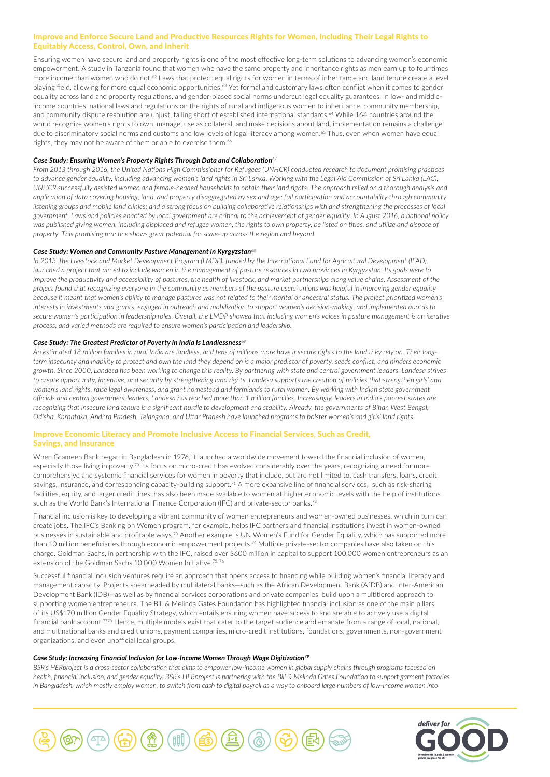# Improve and Enforce Secure Land and Productive Resources Rights for Women, Including Their Legal Rights to Equitably Access, Control, Own, and Inherit

Ensuring women have secure land and property rights is one of the most effective long-term solutions to advancing women's economic empowerment. A study in Tanzania found that women who have the same property and inheritance rights as men earn up to four times more income than women who do not.<sup>62</sup> Laws that protect equal rights for women in terms of inheritance and land tenure create a level playing field, allowing for more equal economic opportunities.<sup>63</sup> Yet formal and customary laws often conflict when it comes to gender equality across land and property regulations, and gender-biased social norms undercut legal equality guarantees. In low- and middleincome countries, national laws and regulations on the rights of rural and indigenous women to inheritance, community membership, and community dispute resolution are unjust, falling short of established international standards.<sup>64</sup> While 164 countries around the world recognize women's rights to own, manage, use as collateral, and make decisions about land, implementation remains a challenge due to discriminatory social norms and customs and low levels of legal literacy among women.<sup>65</sup> Thus, even when women have equal rights, they may not be aware of them or able to exercise them.<sup>66</sup>

#### *Case Study: Ensuring Women's Property Rights Through Data and Collaboration<sup>67</sup>*

*From 2013 through 2016, the United Nations High Commissioner for Refugees (UNHCR) conducted research to document promising practices to advance gender equality, including advancing women's land rights in Sri Lanka. Working with the Legal Aid Commission of Sri Lanka (LAC), UNHCR successfully assisted women and female-headed households to obtain their land rights. The approach relied on a thorough analysis and application of data covering housing, land, and property disaggregated by sex and age; full participation and accountability through community listening groups and mobile land clinics; and a strong focus on building collaborative relationships with and strengthening the processes of local government. Laws and policies enacted by local government are critical to the achievement of gender equality. In August 2016, a national policy was published giving women, including displaced and refugee women, the rights to own property, be listed on titles, and utilize and dispose of property. This promising practice shows great potential for scale-up across the region and beyond.*

#### *Case Study: Women and Community Pasture Management in Kyrgyzstan<sup>68</sup>*

*In 2013, the Livestock and Market Development Program (LMDP), funded by the International Fund for Agricultural Development (IFAD), launched a project that aimed to include women in the management of pasture resources in two provinces in Kyrgyzstan. Its goals were to improve the productivity and accessibility of pastures, the health of livestock, and market partnerships along value chains. Assessment of the project found that recognizing everyone in the community as members of the pasture users' unions was helpful in improving gender equality*  because it meant that women's ability to manage pastures was not related to their marital or ancestral status. The project prioritized women's *interests in investments and grants, engaged in outreach and mobilization to support women's decision-making, and implemented quotas to secure women's participation in leadership roles. Overall, the LMDP showed that including women's voices in pasture management is an iterative process, and varied methods are required to ensure women's participation and leadership.*

#### *Case Study: The Greatest Predictor of Poverty in India Is Landlessness<sup>69</sup>*

*An estimated 18 million families in rural India are landless, and tens of millions more have insecure rights to the land they rely on. Their longterm insecurity and inability to protect and own the land they depend on is a major predictor of poverty, seeds conflict, and hinders economic growth. Since 2000, Landesa has been working to change this reality. By partnering with state and central government leaders, Landesa strives to create opportunity, incentive, and security by strengthening land rights. Landesa supports the creation of policies that strengthen girls' and women's land rights, raise legal awareness, and grant homestead and farmlands to rural women. By working with Indian state government officials and central government leaders, Landesa has reached more than 1 million families. Increasingly, leaders in India's poorest states are recognizing that insecure land tenure is a significant hurdle to development and stability. Already, the governments of Bihar, West Bengal, Odisha, Karnataka, Andhra Pradesh, Telangana, and Uttar Pradesh have launched programs to bolster women's and girls' land rights.*

#### Improve Economic Literacy and Promote Inclusive Access to Financial Services, Such as Credit, Savings, and Insurance

When Grameen Bank began in Bangladesh in 1976, it launched a worldwide movement toward the financial inclusion of women, especially those living in poverty.<sup>70</sup> Its focus on micro-credit has evolved considerably over the years, recognizing a need for more comprehensive and systemic financial services for women in poverty that include, but are not limited to, cash transfers, loans, credit, savings, insurance, and corresponding capacity-building support.<sup>71</sup> A more expansive line of financial services, such as risk-sharing facilities, equity, and larger credit lines, has also been made available to women at higher economic levels with the help of institutions such as the World Bank's International Finance Corporation (IFC) and private-sector banks.<sup>72</sup>

Financial inclusion is key to developing a vibrant community of women entrepreneurs and women-owned businesses, which in turn can create jobs. The IFC's Banking on Women program, for example, helps IFC partners and financial institutions invest in women-owned businesses in sustainable and profitable ways.73 Another example is UN Women's Fund for Gender Equality, which has supported more than 10 million beneficiaries through economic empowerment projects.74 Multiple private-sector companies have also taken on this charge. Goldman Sachs, in partnership with the IFC, raised over \$600 million in capital to support 100,000 women entrepreneurs as an extension of the Goldman Sachs 10,000 Women Initiative.<sup>75,76</sup>

Successful financial inclusion ventures require an approach that opens access to financing while building women's financial literacy and management capacity. Projects spearheaded by multilateral banks—such as the African Development Bank (AfDB) and Inter-American Development Bank (IDB)—as well as by financial services corporations and private companies, build upon a multitiered approach to supporting women entrepreneurs. The Bill & Melinda Gates Foundation has highlighted financial inclusion as one of the main pillars of its US\$170 million Gender Equality Strategy, which entails ensuring women have access to and are able to actively use a digital financial bank account.7778 Hence, multiple models exist that cater to the target audience and emanate from a range of local, national, and multinational banks and credit unions, payment companies, micro-credit institutions, foundations, governments, non-government organizations, and even unofficial local groups.

#### *Case Study: Increasing Financial Inclusion for Low-Income Women Through Wage Digitization<sup>79</sup>*

*BSR's HERproject is a cross-sector collaboration that aims to empower low-income women in global supply chains through programs focused on health, financial inclusion, and gender equality. BSR's HERproject is partnering with the Bill & Melinda Gates Foundation to support garment factories in Bangladesh, which mostly employ women, to switch from cash to digital payroll as a way to onboard large numbers of low-income women into* 



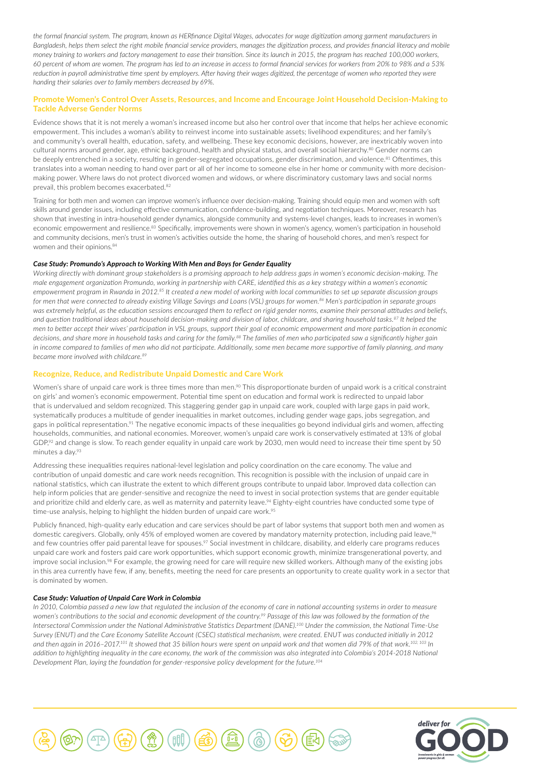*the formal financial system. The program, known as HERfinance Digital Wages, advocates for wage digitization among garment manufacturers in Bangladesh, helps them select the right mobile financial service providers, manages the digitization process, and provides financial literacy and mobile money training to workers and factory management to ease their transition. Since its launch in 2015, the program has reached 100,000 workers, 60 percent of whom are women. The program has led to an increase in access to formal financial services for workers from 20% to 98% and a 53%*  reduction in payroll administrative time spent by employers. After having their wages digitized, the percentage of women who reported they were *handing their salaries over to family members decreased by 69%.*

# Promote Women's Control Over Assets, Resources, and Income and Encourage Joint Household Decision-Making to Tackle Adverse Gender Norms

Evidence shows that it is not merely a woman's increased income but also her control over that income that helps her achieve economic empowerment. This includes a woman's ability to reinvest income into sustainable assets; livelihood expenditures; and her family's and community's overall health, education, safety, and wellbeing. These key economic decisions, however, are inextricably woven into cultural norms around gender, age, ethnic background, health and physical status, and overall social hierarchy.<sup>80</sup> Gender norms can be deeply entrenched in a society, resulting in gender-segregated occupations, gender discrimination, and violence.<sup>81</sup> Oftentimes, this translates into a woman needing to hand over part or all of her income to someone else in her home or community with more decisionmaking power. Where laws do not protect divorced women and widows, or where discriminatory customary laws and social norms prevail, this problem becomes exacerbated.82

Training for both men and women can improve women's influence over decision-making. Training should equip men and women with soft skills around gender issues, including effective communication, confidence-building, and negotiation techniques. Moreover, research has shown that investing in intra-household gender dynamics, alongside community and systems-level changes, leads to increases in women's economic empowerment and resilience.<sup>83</sup> Specifically, improvements were shown in women's agency, women's participation in household and community decisions, men's trust in women's activities outside the home, the sharing of household chores, and men's respect for women and their opinions.<sup>84</sup>

## *Case Study: Promundo's Approach to Working With Men and Boys for Gender Equality*

*Working directly with dominant group stakeholders is a promising approach to help address gaps in women's economic decision-making. The male engagement organization Promundo, working in partnership with CARE, identified this as a key strategy within a women's economic empowerment program in Rwanda in 2012.85 It created a new model of working with local communities to set up separate discussion groups for men that were connected to already existing Village Savings and Loans (VSL) groups for women.86 Men's participation in separate groups was extremely helpful, as the education sessions encouraged them to reflect on rigid gender norms, examine their personal attitudes and beliefs, and question traditional ideas about household decision-making and division of labor, childcare, and sharing household tasks.87 It helped the men to better accept their wives' participation in VSL groups, support their goal of economic empowerment and more participation in economic decisions, and share more in household tasks and caring for the family.88 The families of men who participated saw a significantly higher gain in income compared to families of men who did not participate. Additionally, some men became more supportive of family planning, and many became more involved with childcare.<sup>89</sup>*

## Recognize, Reduce, and Redistribute Unpaid Domestic and Care Work

Women's share of unpaid care work is three times more than men.<sup>90</sup> This disproportionate burden of unpaid work is a critical constraint on girls' and women's economic empowerment. Potential time spent on education and formal work is redirected to unpaid labor that is undervalued and seldom recognized. This staggering gender gap in unpaid care work, coupled with large gaps in paid work, systematically produces a multitude of gender inequalities in market outcomes, including gender wage gaps, jobs segregation, and gaps in political representation.<sup>91</sup> The negative economic impacts of these inequalities go beyond individual girls and women, affecting households, communities, and national economies. Moreover, women's unpaid care work is conservatively estimated at 13% of global GDP,<sup>92</sup> and change is slow. To reach gender equality in unpaid care work by 2030, men would need to increase their time spent by 50 minutes a day.<sup>93</sup>

Addressing these inequalities requires national-level legislation and policy coordination on the care economy. The value and contribution of unpaid domestic and care work needs recognition. This recognition is possible with the inclusion of unpaid care in national statistics, which can illustrate the extent to which different groups contribute to unpaid labor. Improved data collection can help inform policies that are gender-sensitive and recognize the need to invest in social protection systems that are gender equitable and prioritize child and elderly care, as well as maternity and paternity leave.<sup>94</sup> Eighty-eight countries have conducted some type of time-use analysis, helping to highlight the hidden burden of unpaid care work.<sup>95</sup>

Publicly financed, high-quality early education and care services should be part of labor systems that support both men and women as domestic caregivers. Globally, only 45% of employed women are covered by mandatory maternity protection, including paid leave,<sup>96</sup> and few countries offer paid parental leave for spouses.<sup>97</sup> Social investment in childcare, disability, and elderly care programs reduces unpaid care work and fosters paid care work opportunities, which support economic growth, minimize transgenerational poverty, and improve social inclusion.<sup>98</sup> For example, the growing need for care will require new skilled workers. Although many of the existing jobs in this area currently have few, if any, benefits, meeting the need for care presents an opportunity to create quality work in a sector that is dominated by women.

### *Case Study: Valuation of Unpaid Care Work in Colombia*

*In 2010, Colombia passed a new law that regulated the inclusion of the economy of care in national accounting systems in order to measure women's contributions to the social and economic development of the country.99 Passage of this law was followed by the formation of the Intersectoral Commission under the National Administrative Statistics Department (DANE).100 Under the commission, the National Time-Use Survey (ENUT) and the Care Economy Satellite Account (CSEC) statistical mechanism, were created. ENUT was conducted initially in 2012 and then again in 2016–2017.101 It showed that 35 billion hours were spent on unpaid work and that women did 79% of that work.102, 103 In addition to highlighting inequality in the care economy, the work of the commission was also integrated into Colombia's 2014-2018 National Development Plan, laying the foundation for gender-responsive policy development for the future.104*



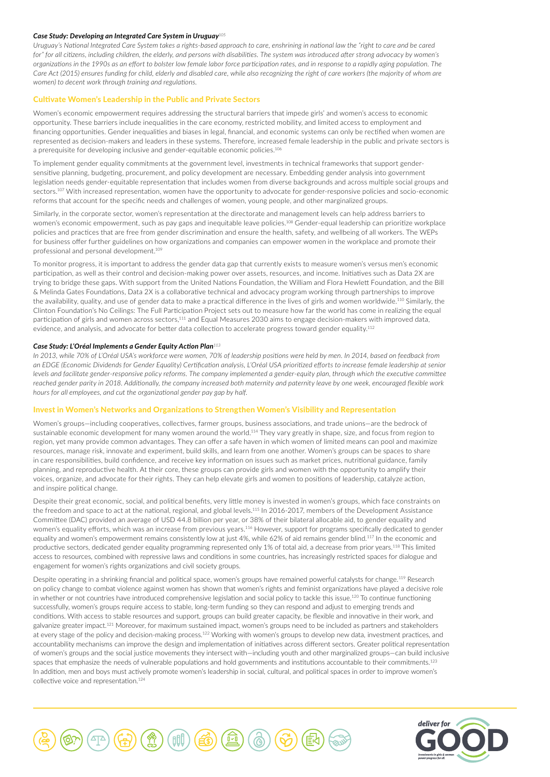#### *Case Study: Developing an Integrated Care System in Uruguay<sup>105</sup>*

*Uruguay's National Integrated Care System takes a rights-based approach to care, enshrining in national law the "right to care and be cared*  for" for all citizens, including children, the elderly, and persons with disabilities. The system was introduced after strong advocacy by women's *organizations in the 1990s as an effort to bolster low female labor force participation rates, and in response to a rapidly aging population. The Care Act (2015) ensures funding for child, elderly and disabled care, while also recognizing the right of care workers (the majority of whom are women) to decent work through training and regulations.*

#### Cultivate Women's Leadership in the Public and Private Sectors

Women's economic empowerment requires addressing the structural barriers that impede girls' and women's access to economic opportunity. These barriers include inequalities in the care economy, restricted mobility, and limited access to employment and financing opportunities. Gender inequalities and biases in legal, financial, and economic systems can only be rectified when women are represented as decision-makers and leaders in these systems. Therefore, increased female leadership in the public and private sectors is a prerequisite for developing inclusive and gender-equitable economic policies.106

To implement gender equality commitments at the government level, investments in technical frameworks that support gendersensitive planning, budgeting, procurement, and policy development are necessary. Embedding gender analysis into government legislation needs gender-equitable representation that includes women from diverse backgrounds and across multiple social groups and sectors.107 With increased representation, women have the opportunity to advocate for gender-responsive policies and socio-economic reforms that account for the specific needs and challenges of women, young people, and other marginalized groups.

Similarly, in the corporate sector, women's representation at the directorate and management levels can help address barriers to women's economic empowerment, such as pay gaps and inequitable leave policies.108 Gender-equal leadership can prioritize workplace policies and practices that are free from gender discrimination and ensure the health, safety, and wellbeing of all workers. The WEPs for business offer further guidelines on how organizations and companies can empower women in the workplace and promote their professional and personal development.109

To monitor progress, it is important to address the gender data gap that currently exists to measure women's versus men's economic participation, as well as their control and decision-making power over assets, resources, and income. Initiatives such as Data 2X are trying to bridge these gaps. With support from the United Nations Foundation, the William and Flora Hewlett Foundation, and the Bill & Melinda Gates Foundations, Data 2X is a collaborative technical and advocacy program working through partnerships to improve the availability, quality, and use of gender data to make a practical difference in the lives of girls and women worldwide.110 Similarly, the Clinton Foundation's No Ceilings: The Full Participation Project sets out to measure how far the world has come in realizing the equal participation of girls and women across sectors,<sup>111</sup> and Equal Measures 2030 aims to engage decision-makers with improved data, evidence, and analysis, and advocate for better data collection to accelerate progress toward gender equality.<sup>112</sup>

#### *Case Study: L'Oréal Implements a Gender Equity Action Plan<sup>113</sup>*

*In 2013, while 70% of L'Oréal USA's workforce were women, 70% of leadership positions were held by men. In 2014, based on feedback from an EDGE (Economic Dividends for Gender Equality) Certification analysis, L'Oréal USA prioritized efforts to increase female leadership at senior levels and facilitate gender-responsive policy reforms. The company implemented a gender-equity plan, through which the executive committee reached gender parity in 2018. Additionally, the company increased both maternity and paternity leave by one week, encouraged flexible work hours for all employees, and cut the organizational gender pay gap by half.*

#### Invest in Women's Networks and Organizations to Strengthen Women's Visibility and Representation

Women's groups—including cooperatives, collectives, farmer groups, business associations, and trade unions—are the bedrock of sustainable economic development for many women around the world.<sup>114</sup> They vary greatly in shape, size, and focus from region to region, yet many provide common advantages. They can offer a safe haven in which women of limited means can pool and maximize resources, manage risk, innovate and experiment, build skills, and learn from one another. Women's groups can be spaces to share in care responsibilities, build confidence, and receive key information on issues such as market prices, nutritional guidance, family planning, and reproductive health. At their core, these groups can provide girls and women with the opportunity to amplify their voices, organize, and advocate for their rights. They can help elevate girls and women to positions of leadership, catalyze action, and inspire political change.

Despite their great economic, social, and political benefits, very little money is invested in women's groups, which face constraints on the freedom and space to act at the national, regional, and global levels.115 In 2016-2017, members of the Development Assistance Committee (DAC) provided an average of USD 44.8 billion per year, or 38% of their bilateral allocable aid, to gender equality and women's equality efforts, which was an increase from previous years.116 However, support for programs specifically dedicated to gender equality and women's empowerment remains consistently low at just 4%, while 62% of aid remains gender blind.<sup>117</sup> In the economic and productive sectors, dedicated gender equality programming represented only 1% of total aid, a decrease from prior years.118 This limited access to resources, combined with repressive laws and conditions in some countries, has increasingly restricted spaces for dialogue and engagement for women's rights organizations and civil society groups.

Despite operating in a shrinking financial and political space, women's groups have remained powerful catalysts for change.<sup>119</sup> Research on policy change to combat violence against women has shown that women's rights and feminist organizations have played a decisive role in whether or not countries have introduced comprehensive legislation and social policy to tackle this issue.<sup>120</sup> To continue functioning successfully, women's groups require access to stable, long-term funding so they can respond and adjust to emerging trends and conditions. With access to stable resources and support, groups can build greater capacity, be flexible and innovative in their work, and galvanize greater impact.<sup>121</sup> Moreover, for maximum sustained impact, women's groups need to be included as partners and stakeholders at every stage of the policy and decision-making process.122 Working with women's groups to develop new data, investment practices, and accountability mechanisms can improve the design and implementation of initiatives across different sectors. Greater political representation of women's groups and the social justice movements they intersect with—including youth and other marginalized groups—can build inclusive spaces that emphasize the needs of vulnerable populations and hold governments and institutions accountable to their commitments.<sup>123</sup> In addition, men and boys must actively promote women's leadership in social, cultural, and political spaces in order to improve women's collective voice and representation.124



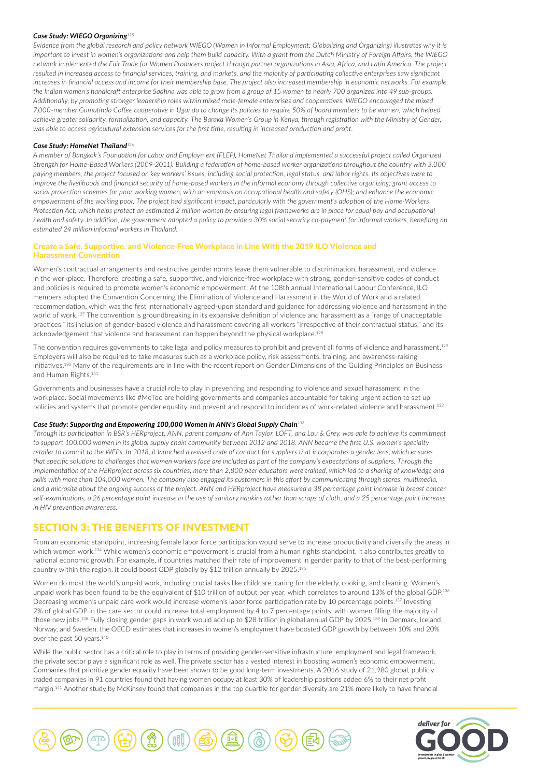#### *Case Study: WIEGO Organizing<sup>125</sup>*

*Evidence from the global research and policy network WIEGO (Women in Informal Employment: Globalizing and Organizing) illustrates why it is important to invest in women's organizations and help them build capacity. With a grant from the Dutch Ministry of Foreign Affairs, the WIEGO network implemented the Fair Trade for Women Producers project through partner organizations in Asia, Africa, and Latin America. The project*  resulted in increased access to financial services, training, and markets, and the majority of participating collective enterprises saw significant increases in financial access and income for their membership base. The project also increased membership in economic networks. For example, *the Indian women's handicraft enterprise Sadhna was able to grow from a group of 15 women to nearly 700 organized into 49 sub-groups.*  Additionally, by promoting stronger leadership roles within mixed male-female enterprises and cooperatives, WIEGO encouraged the mixed *7,000-member Gumutindo Coffee cooperative in Uganda to change its policies to require 50% of board members to be women, which helped achieve greater solidarity, formalization, and capacity. The Baraka Women's Group in Kenya, through registration with the Ministry of Gender, was able to access agricultural extension services for the first time, resulting in increased production and profit.*

#### *Case Study: HomeNet Thailand<sup>126</sup>*

*A member of Bangkok's Foundation for Labor and Employment (FLEP), HomeNet Thailand implemented a successful project called Organized Strength for Home-Based Workers (2009-2011). Building a federation of home-based worker organizations throughout the country with 3,000 paying members, the project focused on key workers' issues, including social protection, legal status, and labor rights. Its objectives were to improve the livelihoods and financial security of home-based workers in the informal economy through collective organizing; grant access to social protection schemes for poor working women, with an emphasis on occupational health and safety (OHS); and enhance the economic empowerment of the working poor. The project had significant impact, particularly with the government's adoption of the Home-Workers Protection Act, which helps protect an estimated 2 million women by ensuring legal frameworks are in place for equal pay and occupational health and safety. In addition, the government adopted a policy to provide a 30% social security co-payment for informal workers, benefiting an estimated 24 million informal workers in Thailand.*

# Create a Safe, Supportive, and Violence-Free Workplace in Line With the 2019 ILO Violence and Harassment Convention

Women's contractual arrangements and restrictive gender norms leave them vulnerable to discrimination, harassment, and violence in the workplace. Therefore, creating a safe, supportive, and violence-free workplace with strong, gender-sensitive codes of conduct and policies is required to promote women's economic empowerment. At the 108th annual International Labour Conference, ILO members adopted the Convention Concerning the Elimination of Violence and Harassment in the World of Work and a related recommendation, which was the first internationally agreed-upon standard and guidance for addressing violence and harassment in the world of work.127 The convention is groundbreaking in its expansive definition of violence and harassment as a "range of unacceptable practices," its inclusion of gender-based violence and harassment covering all workers "irrespective of their contractual status," and its acknowledgement that violence and harassment can happen beyond the physical workplace.<sup>128</sup>

The convention requires governments to take legal and policy measures to prohibit and prevent all forms of violence and harassment.<sup>129</sup> Employers will also be required to take measures such as a workplace policy, risk assessments, training, and awareness-raising initiatives.<sup>130</sup> Many of the requirements are in line with the recent report on Gender Dimensions of the Guiding Principles on Business and Human Rights.131

Governments and businesses have a crucial role to play in preventing and responding to violence and sexual harassment in the workplace. Social movements like #MeToo are holding governments and companies accountable for taking urgent action to set up policies and systems that promote gender equality and prevent and respond to incidences of work-related violence and harassment.<sup>132</sup>

#### *Case Study: Supporting and Empowering 100,000 Women in ANN's Global Supply Chain<sup>133</sup>*

*Through its participation in BSR's HERproject, ANN, parent company of Ann Taylor, LOFT, and Lou & Grey, was able to achieve its commitment to support 100,000 women in its global supply chain community between 2012 and 2018. ANN became the first U.S. women's specialty retailer to commit to the WEPs. In 2018, it launched a revised code of conduct for suppliers that incorporates a gender lens, which ensures that specific solutions to challenges that women workers face are included as part of the company's expectations of suppliers. Through the implementation of the HERproject across six countries, more than 2,800 peer educators were trained, which led to a sharing of knowledge and skills with more than 104,000 women. The company also engaged its customers in this effort by communicating through stores, multimedia, and a microsite about the ongoing success of the project. ANN and HERproject have measured a 38 percentage point increase in breast cancer self-examinations, a 26 percentage point increase in the use of sanitary napkins rather than scraps of cloth, and a 25 percentage point increase in HIV prevention awareness.*

# SECTION 3: THE BENEFITS OF INVESTMENT

From an economic standpoint, increasing female labor force participation would serve to increase productivity and diversify the areas in which women work.<sup>134</sup> While women's economic empowerment is crucial from a human rights standpoint, it also contributes greatly to national economic growth. For example, if countries matched their rate of improvement in gender parity to that of the best-performing country within the region, it could boost GDP globally by \$12 trillion annually by 2025.<sup>135</sup>

Women do most the world's unpaid work, including crucial tasks like childcare, caring for the elderly, cooking, and cleaning. Women's unpaid work has been found to be the equivalent of \$10 trillion of output per year, which correlates to around 13% of the global GDP.<sup>136</sup> Decreasing women's unpaid care work would increase women's labor force participation rate by 10 percentage points.137 Investing 2% of global GDP in the care sector could increase total employment by 4 to 7 percentage points, with women filling the majority of those new jobs.<sup>138</sup> Fully closing gender gaps in work would add up to \$28 trillion in global annual GDP by 2025.<sup>139</sup> In Denmark, Iceland, Norway, and Sweden, the OECD estimates that increases in women's employment have boosted GDP growth by between 10% and 20% over the past 50 years.<sup>140</sup>

While the public sector has a critical role to play in terms of providing gender-sensitive infrastructure, employment and legal framework, the private sector plays a significant role as well. The private sector has a vested interest in boosting women's economic empowerment. Companies that prioritize gender equality have been shown to be good long-term investments. A 2016 study of 21,980 global, publicly traded companies in 91 countries found that having women occupy at least 30% of leadership positions added 6% to their net profit margin.141 Another study by McKinsey found that companies in the top quartile for gender diversity are 21% more likely to have financial



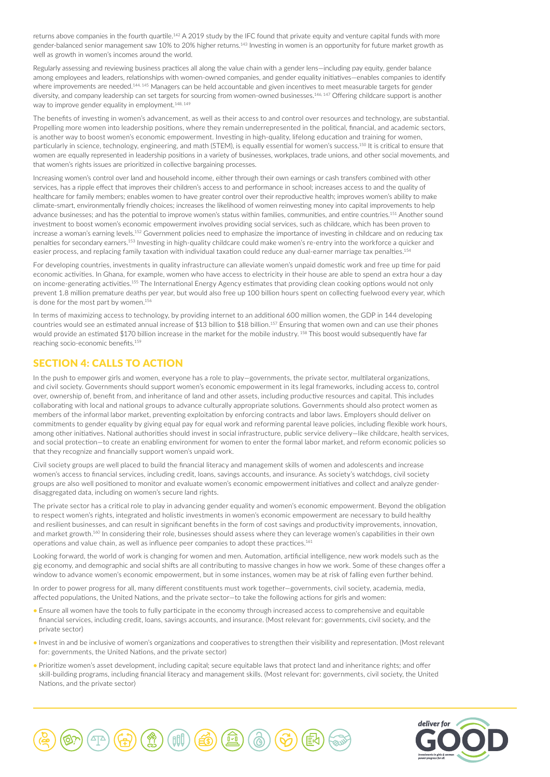returns above companies in the fourth quartile.<sup>142</sup> A 2019 study by the IFC found that private equity and venture capital funds with more gender-balanced senior management saw 10% to 20% higher returns.<sup>143</sup> Investing in women is an opportunity for future market growth as well as growth in women's incomes around the world.

Regularly assessing and reviewing business practices all along the value chain with a gender lens—including pay equity, gender balance among employees and leaders, relationships with women-owned companies, and gender equality initiatives—enables companies to identify where improvements are needed.<sup>144, 145</sup> Managers can be held accountable and given incentives to meet measurable targets for gender diversity, and company leadership can set targets for sourcing from women-owned businesses.<sup>146, 147</sup> Offering childcare support is another way to improve gender equality in employment.<sup>148, 149</sup>

The benefits of investing in women's advancement, as well as their access to and control over resources and technology, are substantial. Propelling more women into leadership positions, where they remain underrepresented in the political, financial, and academic sectors, is another way to boost women's economic empowerment. Investing in high-quality, lifelong education and training for women, particularly in science, technology, engineering, and math (STEM), is equally essential for women's success.150 It is critical to ensure that women are equally represented in leadership positions in a variety of businesses, workplaces, trade unions, and other social movements, and that women's rights issues are prioritized in collective bargaining processes.

Increasing women's control over land and household income, either through their own earnings or cash transfers combined with other services, has a ripple effect that improves their children's access to and performance in school; increases access to and the quality of healthcare for family members; enables women to have greater control over their reproductive health; improves women's ability to make climate-smart, environmentally friendly choices; increases the likelihood of women reinvesting money into capital improvements to help advance businesses; and has the potential to improve women's status within families, communities, and entire countries.<sup>151</sup> Another sound investment to boost women's economic empowerment involves providing social services, such as childcare, which has been proven to increase a woman's earning levels.<sup>152</sup> Government policies need to emphasize the importance of investing in childcare and on reducing tax penalties for secondary earners.153 Investing in high-quality childcare could make women's re-entry into the workforce a quicker and easier process, and replacing family taxation with individual taxation could reduce any dual-earner marriage tax penalties.<sup>154</sup>

For developing countries, investments in quality infrastructure can alleviate women's unpaid domestic work and free up time for paid economic activities. In Ghana, for example, women who have access to electricity in their house are able to spend an extra hour a day on income-generating activities.155 The International Energy Agency estimates that providing clean cooking options would not only prevent 1.8 million premature deaths per year, but would also free up 100 billion hours spent on collecting fuelwood every year, which is done for the most part by women.<sup>156</sup>

In terms of maximizing access to technology, by providing internet to an additional 600 million women, the GDP in 144 developing countries would see an estimated annual increase of \$13 billion to \$18 billion.157 Ensuring that women own and can use their phones would provide an estimated \$170 billion increase in the market for the mobile industry.<sup>158</sup> This boost would subsequently have far reaching socio-economic benefits.<sup>159</sup>

# SECTION 4: CALLS TO ACTION

In the push to empower girls and women, everyone has a role to play—governments, the private sector, multilateral organizations, and civil society. Governments should support women's economic empowerment in its legal frameworks, including access to, control over, ownership of, benefit from, and inheritance of land and other assets, including productive resources and capital. This includes collaborating with local and national groups to advance culturally appropriate solutions. Governments should also protect women as members of the informal labor market, preventing exploitation by enforcing contracts and labor laws. Employers should deliver on commitments to gender equality by giving equal pay for equal work and reforming parental leave policies, including flexible work hours, among other initiatives. National authorities should invest in social infrastructure, public service delivery—like childcare, health services, and social protection—to create an enabling environment for women to enter the formal labor market, and reform economic policies so that they recognize and financially support women's unpaid work.

Civil society groups are well placed to build the financial literacy and management skills of women and adolescents and increase women's access to financial services, including credit, loans, savings accounts, and insurance. As society's watchdogs, civil society groups are also well positioned to monitor and evaluate women's economic empowerment initiatives and collect and analyze genderdisaggregated data, including on women's secure land rights.

The private sector has a critical role to play in advancing gender equality and women's economic empowerment. Beyond the obligation to respect women's rights, integrated and holistic investments in women's economic empowerment are necessary to build healthy and resilient businesses, and can result in significant benefits in the form of cost savings and productivity improvements, innovation, and market growth.<sup>160</sup> In considering their role, businesses should assess where they can leverage women's capabilities in their own operations and value chain, as well as influence peer companies to adopt these practices.<sup>161</sup>

Looking forward, the world of work is changing for women and men. Automation, artificial intelligence, new work models such as the gig economy, and demographic and social shifts are all contributing to massive changes in how we work. Some of these changes offer a window to advance women's economic empowerment, but in some instances, women may be at risk of falling even further behind.

In order to power progress for all, many different constituents must work together—governments, civil society, academia, media, affected populations, the United Nations, and the private sector—to take the following actions for girls and women:

- Ensure all women have the tools to fully participate in the economy through increased access to comprehensive and equitable financial services, including credit, loans, savings accounts, and insurance. (Most relevant for: governments, civil society, and the private sector)
- Invest in and be inclusive of women's organizations and cooperatives to strengthen their visibility and representation. (Most relevant for: governments, the United Nations, and the private sector)
- Prioritize women's asset development, including capital; secure equitable laws that protect land and inheritance rights; and offer skill-building programs, including financial literacy and management skills. (Most relevant for: governments, civil society, the United Nations, and the private sector)



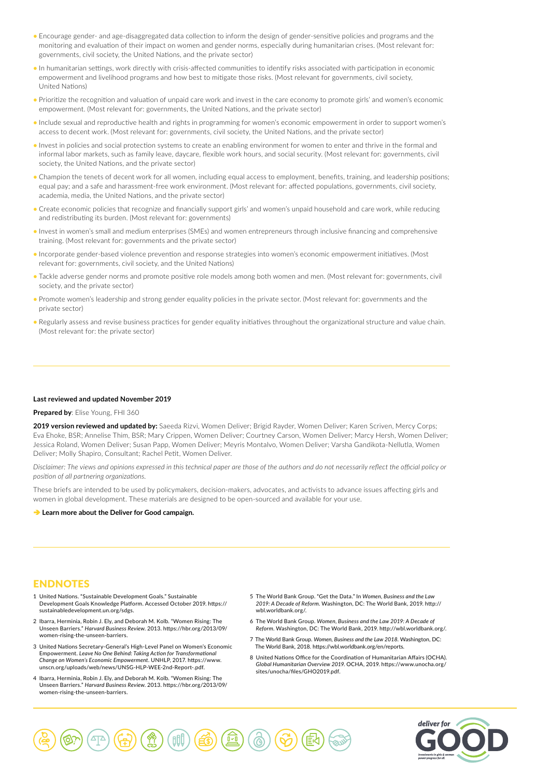- Encourage gender- and age-disaggregated data collection to inform the design of gender-sensitive policies and programs and the monitoring and evaluation of their impact on women and gender norms, especially during humanitarian crises. (Most relevant for: governments, civil society, the United Nations, and the private sector)
- In humanitarian settings, work directly with crisis-affected communities to identify risks associated with participation in economic empowerment and livelihood programs and how best to mitigate those risks. (Most relevant for governments, civil society, United Nations)
- Prioritize the recognition and valuation of unpaid care work and invest in the care economy to promote girls' and women's economic empowerment. (Most relevant for: governments, the United Nations, and the private sector)
- Include sexual and reproductive health and rights in programming for women's economic empowerment in order to support women's access to decent work. (Most relevant for: governments, civil society, the United Nations, and the private sector)
- Invest in policies and social protection systems to create an enabling environment for women to enter and thrive in the formal and informal labor markets, such as family leave, daycare, flexible work hours, and social security. (Most relevant for: governments, civil society, the United Nations, and the private sector)
- Champion the tenets of decent work for all women, including equal access to employment, benefits, training, and leadership positions; equal pay; and a safe and harassment-free work environment. (Most relevant for: affected populations, governments, civil society, academia, media, the United Nations, and the private sector)
- Create economic policies that recognize and financially support girls' and women's unpaid household and care work, while reducing and redistributing its burden. (Most relevant for: governments)
- Invest in women's small and medium enterprises (SMEs) and women entrepreneurs through inclusive financing and comprehensive training. (Most relevant for: governments and the private sector)
- Incorporate gender-based violence prevention and response strategies into women's economic empowerment initiatives. (Most relevant for: governments, civil society, and the United Nations)
- Tackle adverse gender norms and promote positive role models among both women and men. (Most relevant for: governments, civil society, and the private sector)
- Promote women's leadership and strong gender equality policies in the private sector. (Most relevant for: governments and the private sector)
- Regularly assess and revise business practices for gender equality initiatives throughout the organizational structure and value chain. (Most relevant for: the private sector)

#### **Last reviewed and updated November 2019**

#### **Prepared by**: Elise Young, FHI 360

**2019 version reviewed and updated by:** Saeeda Rizvi, Women Deliver; Brigid Rayder, Women Deliver; Karen Scriven, Mercy Corps; Eva Ehoke, BSR; Annelise Thim, BSR; Mary Crippen, Women Deliver; Courtney Carson, Women Deliver; Marcy Hersh, Women Deliver; Jessica Roland, Women Deliver; Susan Papp, Women Deliver; Meyris Montalvo, Women Deliver; Varsha Gandikota-Nellutla, Women Deliver; Molly Shapiro, Consultant; Rachel Petit, Women Deliver.

*Disclaimer: The views and opinions expressed in this technical paper are those of the authors and do not necessarily reflect the official policy or position of all partnering organizations.*

These briefs are intended to be used by policymakers, decision-makers, advocates, and activists to advance issues affecting girls and women in global development. These materials are designed to be open-sourced and available for your use.

**→ [Learn more about the Deliver for Good campaign.](http://www.deliverforgood.org/)** 

# **ENDNOTES**

- 1 United Nations. "Sustainable Development Goals." Sustainable Development Goals Knowledge Platform. Accessed October 2019. https:// sustainabledevelopment.un.org/sdgs.
- 2 Ibarra, Herminia, Robin J. Ely, and Deborah M. Kolb. "Women Rising: The Unseen Barriers." *Harvard Business Review*. 2013. https://hbr.org/2013/09/ women-rising-the-unseen-barriers.
- 3 United Nations Secretary-General's High-Level Panel on Women's Economic Empowerment. *Leave No One Behind: Taking Action for Transformational Change on Women's Economic Empowerment*. UNHLP, 2017. https://www. unscn.org/uploads/web/news/UNSG-HLP-WEE-2nd-Report-.pdf.
- 4 Ibarra, Herminia, Robin J. Ely, and Deborah M. Kolb. "Women Rising: The Unseen Barriers." *Harvard Business Review*. 2013. https://hbr.org/2013/09/ women-rising-the-unseen-barriers.
- 5 The World Bank Group. "Get the Data." In *Women, Business and the Law 2019: A Decade of Reform*. Washington, DC: The World Bank, 2019. http:// wbl.worldbank.org/.
- 6 The World Bank Group. *Women, Business and the Law 2019: A Decade of Reform*. Washington, DC: The World Bank, 2019. http://wbl.worldbank.org/.
- 7 The World Bank Group. *Women, Business and the Law 2018*. Washington, DC: The World Bank, 2018. https://wbl.worldbank.org/en/reports.
- 8 United Nations Office for the Coordination of Humanitarian Affairs (OCHA). *Global Humanitarian Overview 2019*. OCHA, 2019. https://www.unocha.org/ sites/unocha/files/GHO2019.pdf.



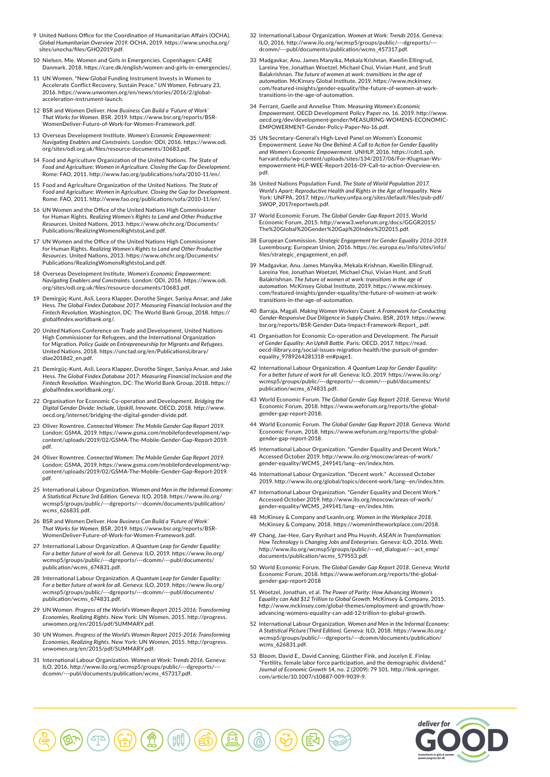- 9 United Nations Office for the Coordination of Humanitarian Affairs (OCHA). *Global Humanitarian Overview 2019*. OCHA, 2019. https://www.unocha.org/ sites/unocha/files/GHO2019.pdf
- 10 Nielsen, Mie. Women and Girls in Emergencies. Copenhagen: CARE Danmark, 2018. https://care.dk/english/women-and-girls-in-emergencies
- 11 UN Women. "New Global Funding Instrument Invests in Women to Accelerate Conflict Recovery, Sustain Peace." *UN Women*, February 23, 2016. https://www.unwomen.org/en/news/stories/2016/2/globalacceleration-instrument-launch.
- 12 BSR and Women Deliver. *How Business Can Build a 'Future of Work' That Works for Women*. BSR. 2019. https://www.bsr.org/reports/BSR-WomenDeliver-Future-of-Work-for-Women-Framework.pdf.
- 13 Overseas Development Institute. *Women's Economic Empowerment: Navigating Enablers and Constraints*. London: ODI, 2016. https://www.odi. org/sites/odi.org.uk/files/resource-documents/10683.pdf.
- 14 Food and Agriculture Organization of the United Nations. *The State of Food and Agriculture: Women in Agriculture. Closing the Gap for Development*. Rome: FAO, 2011. http://www.fao.org/publications/sofa/2010-11/en/.
- 15 Food and Agriculture Organization of the United Nations. *The State of Food and Agriculture: Women in Agriculture. Closing the Gap for Development*. Rome: FAO, 2011. http://www.fao.org/publications/sofa/2010-11/en/.
- 16 UN Women and the Office of the United Nations High Commissioner for Human Rights. *Realizing Women's Rights to Land and Other Productive Resources*. United Nations, 2013. https://www.ohchr.org/Documents/ Publications/RealizingWomensRightstoLand.pdf.
- 17 UN Women and the Office of the United Nations High Commissioner for Human Rights. *Realizing Women's Rights to Land and Other Productive Resources*. United Nations, 2013. https://www.ohchr.org/Documents/ Publications/RealizingWomensRightstoLand.pdf.
- 18 Overseas Development Institute. *Women's Economic Empowerment: Navigating Enablers and Constraints*. London: ODI, 2016. https://www.odi. org/sites/odi.org.uk/files/resource-documents/10683.pdf.
- 19 Demirgüç-Kunt, Asli, Leora Klapper, Dorothe Singer, Saniya Ansar, and Jake Hess. *The Global Findex Database 2017: Measuring Financial Inclusion and the Fintech Revolution*. Washington, DC: The World Bank Group, 2018. https:// globalfindex.worldbank.org/.
- 20 United Nations Conference on Trade and Development, United Nations High Commissioner for Refugees, and the International Organization for Migration. *Policy Guide on Entrepreneurship for Migrants and Refugees*. United Nations, 2018. https://unctad.org/en/PublicationsLibrary/ diae2018d2\_en.pdf.
- 21 Demirgüç-Kunt, Asli, Leora Klapper, Dorothe Singer, Saniya Ansar, and Jake Hess. *The Global Findex Database 2017: Measuring Financial Inclusion and the Fintech Revolution*. Washington, DC: The World Bank Group, 2018. https:// globalfindex.worldbank.org/.
- 22 Organisation for Economic Co-operation and Development. *Bridging the Digital Gender Divide: Include, Upskill, Innovate*. OECD, 2018. http://www. oecd.org/internet/bridging-the-digital-gender-divide.pdf.
- 23 Oliver Rowntree. *Connected Women: The Mobile Gender Gap Report 2019*. London: GSMA, 2019. https://www.gsma.com/mobilefordevelopment/wpcontent/uploads/2019/02/GSMA-The-Mobile-Gender-Gap-Report-2019. pdf.
- 24 Oliver Rowntree. *Connected Women: The Mobile Gender Gap Report 2019*. London: GSMA, 2019. https://www.gsma.com/mobilefordevelopment/wp-content/uploads/2019/02/GSMA-The-Mobile-Gender-Gap-Report-2019. pdf.
- 25 International Labour Organization. *Women and Men in the Informal Economy: A Statistical Picture 3rd Edition*. Geneva: ILO, 2018. https://www.ilo.org/ wcmsp5/groups/public/---dgreports/---dcomm/documents/publication/ wcms\_626831.pdf.
- 26 BSR and Women Deliver. *How Business Can Build a 'Future of Work' That Works for Women*. BSR. 2019. https://www.bsr.org/reports/BSR-WomenDeliver-Future-of-Work-for-Women-Framework.pdf.
- 27 International Labour Organization. *A Quantum Leap for Gender Equality: For a better future of work for all*. Geneva: ILO, 2019. https://www.ilo.org/ wcmsp5/groups/public/---dgreports/---dcomm/---publ/documents/ publication/wcms\_674831.pdf.
- 28 International Labour Organization. *A Quantum Leap for Gender Equality: For a better future of work for all*. Geneva: ILO, 2019. https://www.ilo.org/ wcmsp5/groups/public/---dgreports/---dcomm/---publ/documents/ publication/wcms\_674831.pdf.
- 29 UN Women. *Progress of the World's Women Report 2015-2016: Transforming Economies, Realizing Rights*. New York: UN Women, 2015. http://progress. unwomen.org/en/2015/pdf/SUMMARY.pdf
- 30 UN Women. *Progress of the World's Women Report 2015-2016: Transforming Economies, Realizing Rights*. New York: UN Women, 2015. http://progress. unwomen.org/en/2015/pdf/SUMMARY.pdf.
- 31 International Labour Organization. *Women at Work: Trends 2016*. Geneva: ILO, 2016. http://www.ilo.org/wcmsp5/groups/public/---dgreports/--- dcomm/---publ/documents/publication/wcms\_457317.pdf.
- 32 International Labour Organization. *Women at Work: Trends 2016*. Geneva: ILO, 2016. http://www.ilo.org/wcmsp5/groups/public/---dgreports/-- dcomm/---publ/documents/publication/wcms\_457317.pdf.
- 33 Madgavkar, Anu, James Manyika, Mekala Krishnan, Kweilin Ellingrud, Lareina Yee, Jonathan Woetzel, Michael Chui, Vivian Hunt, and Sruti Balakrishnan. *The future of women at work: transitions in the age of automation*. McKinsey Global Institute, 2019. https://www.mckinsey. com/featured-insights/gender-equality/the-future-of-women-at-worktransitions-in-the-age-of-automation.
- 34 Ferrant, Gaelle and Annelise Thim. *Measuring Women's Economic Empowerment*. OECD Development Policy Paper no. 16. 2019. http://www. oecd.org/dev/development-gender/MEASURING-WOMENS-ECONOMIC-EMPOWERMENT-Gender-Policy-Paper-No-16.pdf.
- 35 UN Secretary-General's High-Level Panel on Women's Economic Empowerment. *Leave No One Behind: A Call to Action for Gender Equality and Women's Economic Empowerment*. UNHLP, 2016. https://cdn1.sph. harvard.edu/wp-content/uploads/sites/134/2017/06/For-Klugman-Wsempowerment-HLP-WEE-Report-2016-09-Call-to-action-Overview-en. pdf.
- 36 United Nations Population Fund. *The State of World Population 2017. World's Apart: Reproductive Health and Rights in the Age of Inequality*. New York: UNFPA, 2017. https://turkey.unfpa.org/sites/default/files/pub-pdf/ SWOP\_2017reportweb.pdf.
- 37 World Economic Forum. *The Global Gender Gap Report 2015*. World Economic Forum, 2015. http://www3.weforum.org/docs/GGGR2015/ The%20Global%20Gender%20Gap%20Index%202015.pdf.
- 38 European Commission. *Strategic Engagement for Gender Equality 2016-2019*. Luxembourg: European Union, 2016. https://ec.europa.eu/info/sites/info/ files/strategic\_engagement\_en.pdf.
- 39 Madgavkar, Anu, James Manyika, Mekala Krishnan, Kweilin Ellingrud, Lareina Yee, Jonathan Woetzel, Michael Chui, Vivian Hunt, and Sruti Balakrishnan. *The future of women at work: transitions in the age of automation*. McKinsey Global Institute, 2019. https://www.mckinsey. com/featured-insights/gender-equality/the-future-of-women-at-worktransitions-in-the-age-of-automation.
- 40 Barraja, Magali. *Making Women Workers Count: A Framework for Conducting Gender-Responsive Due Diligence in Supply Chains*. BSR, 2019. https://www. bsr.org/reports/BSR-Gender-Data-Impact-Framework-Report\_.pdf.
- 41 Organisation for Economic Co-operation and Development. *The Pursuit of Gender Equality: An Uphill Battle*. Paris: OECD, 2017. https://read. oecd-ilibrary.org/social-issues-migration-health/the-pursuit-of-genderequality\_9789264281318-en#page1.
- 42 International Labour Organization. *A Quantum Leap for Gender Equality: For a better future of work for all*. Geneva: ILO, 2019. https://www.ilo.org/ wcmsp5/groups/public/---dgreports/---dcomm/---publ/documents/ publication/wcms\_674831.pdf.
- 43 World Economic Forum. *The Global Gender Gap Report 2018*. Geneva: World Economic Forum, 2018. https://www.weforum.org/reports/the-globalgender-gap-report-2018.
- 44 World Economic Forum. *The Global Gender Gap Report 2018*. Geneva: World Economic Forum, 2018. https://www.weforum.org/reports/the-globalgender-gap-report-2018.
- 45 International Labour Organization. "Gender Equality and Decent Work." Accessed October 2019. http://www.ilo.org/moscow/areas-of-work/ gender-equality/WCMS\_249141/lang--en/index.htm.
- 46 International Labour Organization. "Decent work." Accessed October 2019. http://www.ilo.org/global/topics/decent-work/lang--en/index.htm.
- 47 International Labour Organization. "Gender Equality and Decent Work. Accessed October 2019. http://www.ilo.org/moscow/areas-of-work/ gender-equality/WCMS\_249141/lang--en/index.htm.
- 48 McKinsey & Company and LeanIn.org. *Women in the Workplace 2018*. McKinsey & Company, 2018. https://womenintheworkplace.com/2018.
- 49 Chang, Jae-Hee, Gary Rynhart and Phu Huynh. *ASEAN in Transformation: How Technology is Changing Jobs and Enterprises*. Geneva: ILO, 2016. Web. http://www.ilo.org/wcmsp5/groups/public/---ed\_dialogue/---act\_emp/ documents/publication/wcms\_579553.pdf.
- 50 World Economic Forum. *The Global Gender Gap Report 2018*. Geneva: World Economic Forum, 2018. https://www.weforum.org/reports/the-globalgender-gap-report-2018
- 51 Woetzel, Jonathan, et al. *The Power of Parity: How Advancing Women's Equality can Add \$12 Trillion to Global Growth*. McKinsey & Company, 2015. http://www.mckinsey.com/global-themes/employment-and-growth/howadvancing-womens-equality-can-add-12-trillion-to-global-growth.
- 52 International Labour Organization. *Women and Men in the Informal Economy: A Statistical Picture (Third Edition)*. Geneva: ILO, 2018. https://www.ilo.org/ wcmsp5/groups/public/---dgreports/---dcomm/documents/publication/ wcms\_626831.pdf.
- 53 Bloom, David E., David Canning, Günther Fink, and Jocelyn E. Finlay. "Fertility, female labor force participation, and the demographic dividend." *Journal of Economic Growth* 14, no. 2 (2009): 79 101. http://link.springer. com/article/10.1007/s10887-009-9039-9.

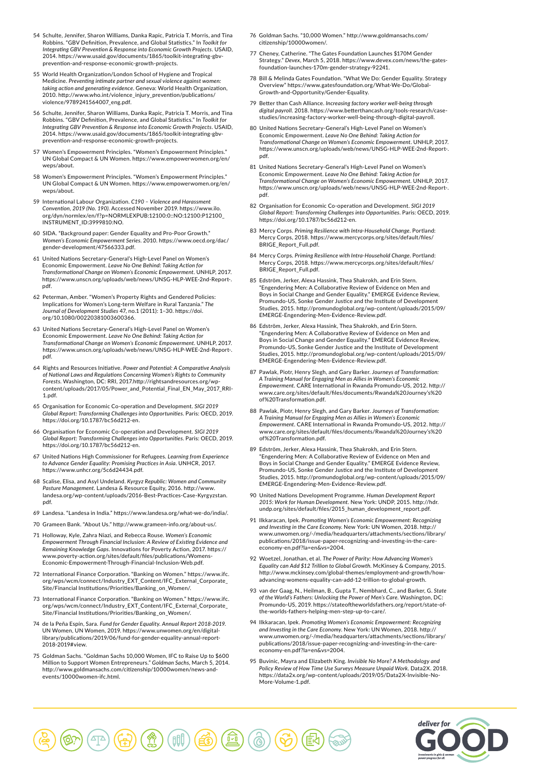- 54 Schulte, Jennifer, Sharon Williams, Danka Rapic, Patricia T. Morris, and Tina Robbins. "GBV Definition, Prevalence, and Global Statistics." In *Toolkit for Integrating GBV Prevention & Response into Economic Growth Projects*. USAID, 2014. https://www.usaid.gov/documents/1865/toolkit-integrating-gbvprevention-and-response-economic-growth-projects.
- 55 World Health Organization/London School of Hygiene and Tropical Medicine. *Preventing intimate partner and sexual violence against women: taking action and generating evidence*. Geneva: World Health Organization, 2010. http://www.who.int/violence\_injury\_prevention/publications/ violence/9789241564007\_eng.pdf.
- 56 Schulte, Jennifer, Sharon Williams, Danka Rapic, Patricia T. Morris, and Tina Robbins. "GBV Definition, Prevalence, and Global Statistics." In *Toolkit for Integrating GBV Prevention & Response into Economic Growth Projects*. USAID, 2014. https://www.usaid.gov/documents/1865/toolkit-integrating-gbvprevention-and-response-economic-growth-projects.
- 57 Women's Empowerment Principles. "Women's Empowerment Principles." UN Global Compact & UN Women. https://www.empowerwomen.org/en/ weps/about.
- 58 Women's Empowerment Principles. "Women's Empowerment Principles." UN Global Compact & UN Women. https://www.empowerwomen.org/en/ weps/about.
- 59 International Labour Organization. *C190 Violence and Harassment Convention, 2019 (No. 190)*. Accessed November 2019. https://www.ilo. org/dyn/normlex/en/f?p=NORMLEXPUB:12100:0::NO:12100:P12100\_ INSTRUMENT\_ID:3999810:NO.
- 60 SIDA. "Background paper: Gender Equality and Pro-Poor Growth." *Women's Economic Empowerment Series*. 2010. https://www.oecd.org/dac/ gender-development/47566333.pdf.
- 61 United Nations Secretary-General's High-Level Panel on Women's Economic Empowerment. *Leave No One Behind: Taking Action for Transformational Change on Women's Economic Empowerment*. UNHLP, 2017. https://www.unscn.org/uploads/web/news/UNSG-HLP-WEE-2nd-Report-. pdf.
- 62 Peterman, Amber. "Women's Property Rights and Gendered Policies: Implications for Women's Long-term Welfare in Rural Tanzania." *The Journal of Development Studies* 47, no.1 (2011): 1–30. https://doi. org/10.1080/00220381003600366.
- 63 United Nations Secretary-General's High-Level Panel on Women's Economic Empowerment. *Leave No One Behind: Taking Action for Transformational Change on Women's Economic Empowerment*. UNHLP, 2017. https://www.unscn.org/uploads/web/news/UNSG-HLP-WEE-2nd-Report-. pdf.
- 64 Rights and Resources Initiative. *Power and Potential: A Comparative Analysis of National Laws and Regulations Concerning Women's Rights to Community Forests*. Washington, DC: RRI, 2017.http://rightsandresources.org/wpcontent/uploads/2017/05/Power\_and\_Potential\_Final\_EN\_May\_2017\_RRI-1.pdf.
- 65 Organisation for Economic Co-operation and Development. *SIGI 2019 Global Report: Transforming Challenges into Opportunities*. Paris: OECD, 2019. https://doi.org/10.1787/bc56d212-en.
- 66 Organisation for Economic Co-operation and Development. *SIGI 2019 Global Report: Transforming Challenges into Opportunities*. Paris: OECD, 2019. https://doi.org/10.1787/bc56d212-en.
- 67 United Nations High Commissioner for Refugees. *Learning from Experience to Advance Gender Equality: Promising Practices in Asia*. UNHCR, 2017. https://www.unhcr.org/5c6d24434.pdf.
- 68 Scalise, Elisa, and Asyl Undeland. *Kyrgyz Republic: Women and Community Pasture Management*. Landesa & Resource Equity, 2016. http://www. landesa.org/wp-content/uploads/2016-Best-Practices-Case-Kyrgyzstan. pdf.
- 69 Landesa. "Landesa in India." https://www.landesa.org/what-we-do/india/.
- 70 Grameen Bank. "About Us." http://www.grameen-info.org/about-us/.
- 71 Holloway, Kyle, Zahra Niazi, and Rebecca Rouse. *Women's Economic Empowerment Through Financial Inclusion: A Review of Existing Evidence and Remaining Knowledge Gaps*. Innovations for Poverty Action, 2017. https:// www.poverty-action.org/sites/default/files/publications/Womens-Economic-Empowerment-Through-Financial-Inclusion-Web.pdf.
- 72 International Finance Corporation. "Banking on Women." https://www.ifc. org/wps/wcm/connect/Industry\_EXT\_Content/IFC\_External\_Corporate\_ Site/Financial Institutions/Priorities/Banking\_on\_Women/.
- 73 International Finance Corporation. "Banking on Women." https://www.ifc. org/wps/wcm/connect/Industry\_EXT\_Content/IFC\_External\_Corporate\_ Site/Financial Institutions/Priorities/Banking\_on\_Women/.
- 74 de la Peña Espín, Sara. *Fund for Gender Equality. Annual Report 2018-2019*. UN Women, UN Women, 2019. https://www.unwomen.org/en/digitallibrary/publications/2019/06/fund-for-gender-equality-annual-report-2018-2019#view.
- 75 Goldman Sachs. "Goldman Sachs 10,000 Women, IFC to Raise Up to \$600 Million to Support Women Entrepreneurs." *Goldman Sachs*, March 5, 2014. http://www.goldmansachs.com/citizenship/10000women/news-andevents/10000women-ifc.html.
- 76 Goldman Sachs. "10,000 Women." http://www.goldmansachs.com/ citizenship/10000women/.
- 77 Cheney, Catherine. "The Gates Foundation Launches \$170M Gender Strategy." *Devex*, March 5, 2018. https://www.devex.com/news/the-gatesfoundation-launches-170m-gender-strategy-92241.
- 78 Bill & Melinda Gates Foundation. "What We Do: Gender Equality. Strategy Overview" https://www.gatesfoundation.org/What-We-Do/Global-Growth-and-Opportunity/Gender-Equality.
- 79 Better than Cash Alliance. *Increasing factory worker well-being through digital payroll*. 2018. https://www.betterthancash.org/tools-research/casestudies/increasing-factory-worker-well-being-through-digital-payroll.
- 80 United Nations Secretary-General's High-Level Panel on Women's Economic Empowerment. *Leave No One Behind: Taking Action for Transformational Change on Women's Economic Empowerment*. UNHLP, 2017. https://www.unscn.org/uploads/web/news/UNSG-HLP-WEE-2nd-Report-. pdf.
- 81 United Nations Secretary-General's High-Level Panel on Women's Economic Empowerment. *Leave No One Behind: Taking Action for Transformational Change on Women's Economic Empowerment*. UNHLP, 2017. https://www.unscn.org/uploads/web/news/UNSG-HLP-WEE-2nd-Report-. pdf.
- 82 Organisation for Economic Co-operation and Development. *SIGI 2019 Global Report: Transforming Challenges into Opportunities*. Paris: OECD, 2019. https://doi.org/10.1787/bc56d212-en.
- 83 Mercy Corps. *Priming Resilience with Intra-Household Change*. Portland: Mercy Corps, 2018. https://www.mercycorps.org/sites/default/files/ BRIGE\_Report\_Full.pdf.
- 84 Mercy Corps. *Priming Resilience with Intra-Household Change*. Portland: Mercy Corps, 2018. https://www.mercycorps.org/sites/default/files/ BRIGE\_Report\_Full.pdf.
- 85 Edström, Jerker, Alexa Hassink, Thea Shakrokh, and Erin Stern. "Engendering Men: A Collaborative Review of Evidence on Men and Boys in Social Change and Gender Equality." EMERGE Evidence Review, Promundo-US, Sonke Gender Justice and the Institute of Development Studies, 2015. http://promundoglobal.org/wp-content/uploads/2015/09/ EMERGE-Engendering-Men-Evidence-Review.pdf.
- 86 Edström, Jerker, Alexa Hassink, Thea Shakrokh, and Erin Stern. "Engendering Men: A Collaborative Review of Evidence on Men and Boys in Social Change and Gender Equality." EMERGE Evidence Review, Promundo-US, Sonke Gender Justice and the Institute of Development Studies, 2015. http://promundoglobal.org/wp-content/uploads/2015/09/ EMERGE-Engendering-Men-Evidence-Review.pdf.
- 87 Pawlak, Piotr, Henry Slegh, and Gary Barker. *Journeys of Transformation: A Training Manual for Engaging Men as Allies in Women's Economic Empowerment*. CARE International in Rwanda Promundo-US, 2012. http:// www.care.org/sites/default/files/documents/Rwanda%20Journey's%20 of%20Transformation.pdf.
- 88 Pawlak, Piotr, Henry Slegh, and Gary Barker. *Journeys of Transformation: A Training Manual for Engaging Men as Allies in Women's Economic Empowerment*. CARE International in Rwanda Promundo-US, 2012. http:// www.care.org/sites/default/files/documents/Rwanda%20Journey's%20 of%20Transformation.pdf.
- 89 Edström, Jerker, Alexa Hassink, Thea Shakrokh, and Erin Stern. "Engendering Men: A Collaborative Review of Evidence on Men and Boys in Social Change and Gender Equality." EMERGE Evidence Review, Promundo-US, Sonke Gender Justice and the Institute of Development Studies, 2015. http://promundoglobal.org/wp-content/uploads/2015/09/ EMERGE-Engendering-Men-Evidence-Review.pdf.
- 90 United Nations Development Programme. *Human Development Report 2015: Work for Human Development*. New York: UNDP, 2015. http://hdr. undp.org/sites/default/files/2015\_human\_development\_report.pdf.
- 91 Ilkkaracan, Ipek. *Promoting Women's Economic Empowerment: Recognizing and Investing in the Care Economy*. New York: UN Women, 2018. http:// www.unwomen.org/-/media/headquarters/attachments/sections/library/ publications/2018/issue-paper-recognizing-and-investing-in-the-careeconomy-en.pdf?la=en&vs=2004.
- 92 Woetzel, Jonathan, et al. *The Power of Parity: How Advancing Women's Equality can Add \$12 Trillion to Global Growth*. McKinsey & Company, 2015. http://www.mckinsey.com/global-themes/employment-and-growth/howadvancing-womens-equality-can-add-12-trillion-to-global-growth.
- 93 van der Gaag, N., Heilman, B., Gupta T., Nembhard, C., and Barker, G. *State of the World's Fathers: Unlocking the Power of Men's Care*. Washington, DC: Promundo-US, 2019. https://stateoftheworldsfathers.org/report/state-ofthe-worlds-fathers-helping-men-step-up-to-care/.
- 94 Ilkkaracan, Ipek. *Promoting Women's Economic Empowerment: Recognizing and Investing in the Care Economy*. New York: UN Women, 2018. http:// www.unwomen.org/-/media/headquarters/attachments/sections/library/ publications/2018/issue-paper-recognizing-and-investing-in-the-careeconomy-en.pdf?la=en&vs=2004.
- 95 Buvinic, Mayra and Elizabeth King. *Invisible No More? A Methodology and Policy Review of How Time Use Surveys Measure Unpaid Work*. Data2X. 2018. https://data2x.org/wp-content/uploads/2019/05/Data2X-Invisible-No-More-Volume-1.pdf.



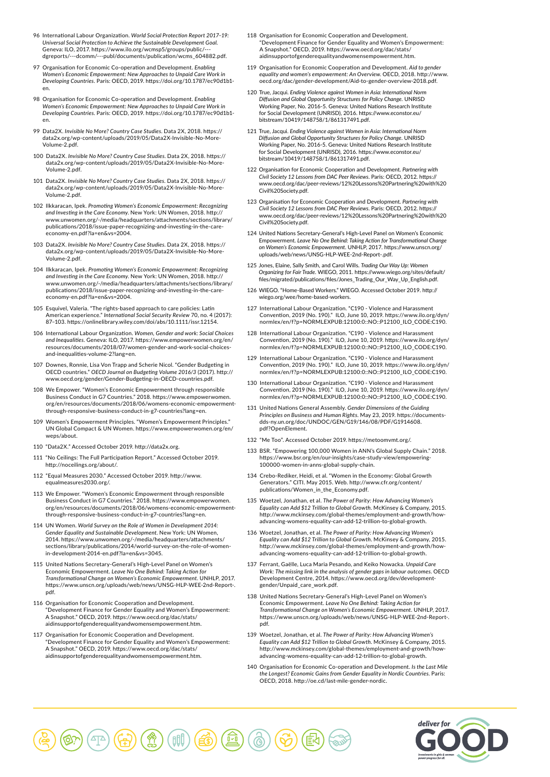- 96 International Labour Organization. *World Social Protection Report 2017–19: Universal Social Protection to Achieve the Sustainable Development Goal*. Geneva: ILO, 2017. https://www.ilo.org/wcmsp5/groups/public/dgreports/---dcomm/---publ/documents/publication/wcms\_604882.pdf.
- 97 Organisation for Economic Co-operation and Development. *Enabling Women's Economic Empowerment: New Approaches to Unpaid Care Work in Developing Countries*. Paris: OECD, 2019. https://doi.org/10.1787/ec90d1b1 en.
- 98 Organisation for Economic Co-operation and Development. *Enabling Women's Economic Empowerment: New Approaches to Unpaid Care Work in Developing Countries*. Paris: OECD, 2019. https://doi.org/10.1787/ec90d1b1 en.
- 99 Data2X. *Invisible No More? Country Case Studies*. Data 2X, 2018. https:// data2x.org/wp-content/uploads/2019/05/Data2X-Invisible-No-More-Volume-2.pdf.
- 100 Data2X. *Invisible No More? Country Case Studies*. Data 2X, 2018. https:// data2x.org/wp-content/uploads/2019/05/Data2X-Invisible-No-More-Volume-2.pdf.
- 101 Data2X. *Invisible No More? Country Case Studies*. Data 2X, 2018. https:// data2x.org/wp-content/uploads/2019/05/Data2X-Invisible-No-More-Volume-2.pdf.
- 102 Ilkkaracan, Ipek. *Promoting Women's Economic Empowerment: Recognizing and Investing in the Care Economy*. New York: UN Women, 2018. http:// www.unwomen.org/-/media/headquarters/attachments/sections/library/ publications/2018/issue-paper-recognizing-and-investing-in-the-careeconomy-en.pdf?la=en&vs=2004.
- 103 Data2X. *Invisible No More? Country Case Studies*. Data 2X, 2018. https:// data2x.org/wp-content/uploads/2019/05/Data2X-Invisible-No-More-Volume-2.pdf.
- 104 Ilkkaracan, Ipek. *Promoting Women's Economic Empowerment: Recognizing and Investing in the Care Economy*. New York: UN Women, 2018. http:// www.unwomen.org/-/media/headquarters/attachments/sections/library/ publications/2018/issue-paper-recognizing-and-investing-in-the-careeconomy-en.pdf?la=en&vs=2004.
- 105 Esquivel, Valeria. "The rights-based approach to care policies: Latin American experience." *International Social Security Review* 70, no. 4 (2017): 87–103. https://onlinelibrary.wiley.com/doi/abs/10.1111/issr.12154.
- 106 International Labour Organization. *Women, Gender and work: Social Choices and Inequalities*. Geneva: ILO, 2017. https://www.empowerwomen.org/en/ resources/documents/2018/07/women-gender-and-work-social-choicesand-inequalities-volume-2?lang=en.
- 107 Downes, Ronnie, Lisa Von Trapp and Scherie Nicol. "Gender Budgeting in OECD countries." *OECD Journal on Budgeting Volume 2016/3* (2017). http:// www.oecd.org/gender/Gender-Budgeting-in-OECD-countries.pdf.
- 108 We Empower. "Women's Economic Empowerment through responsible Business Conduct in G7 Countries." 2018. https://www.empowerwomen. org/en/resources/documents/2018/06/womens-economic-empowermentthrough-responsive-business-conduct-in-g7-countries?lang=en.
- 109 Women's Empowerment Principles. "Women's Empowerment Principles. UN Global Compact & UN Women. https://www.empowerwomen.org/en/ weps/about.
- 110 "Data2X." Accessed October 2019. http://data2x.org.
- 111 "No Ceilings: The Full Participation Report." Accessed October 2019. http://noceilings.org/about/.
- 112 "Equal Measures 2030." Accessed October 2019. http://www. equalmeasures2030.org/.
- 113 We Empower. "Women's Economic Empowerment through responsible Business Conduct in G7 Countries." 2018. https://www.empowerwomen. org/en/resources/documents/2018/06/womens-economic-empowermentthrough-responsive-business-conduct-in-g7-countries?lang=en.
- 114 UN Women. *World Survey on the Role of Women in Development 2014: Gender Equality and Sustainable Development*. New York: UN Women, 2014. https://www.unwomen.org/-/media/headquarters/attachments/ sections/library/publications/2014/world-survey-on-the-role-of-womenin-development-2014-en.pdf?la=en&vs=3045.
- 115 United Nations Secretary-General's High-Level Panel on Women's Economic Empowerment. *Leave No One Behind: Taking Action for Transformational Change on Women's Economic Empowerment*. UNHLP, 2017. https://www.unscn.org/uploads/web/news/UNSG-HLP-WEE-2nd-Report-. pdf.
- 116 Organisation for Economic Cooperation and Development. "Development Finance for Gender Equality and Women's Empowerment: A Snapshot." OECD, 2019. https://www.oecd.org/dac/stats/ aidinsupportofgenderequalityandwomensempowerment.htm.
- 117 Organisation for Economic Cooperation and Development. "Development Finance for Gender Equality and Women's Empowerment: A Snapshot." OECD, 2019. https://www.oecd.org/dac/stats/ aidinsupportofgenderequalityandwomensempowerment.htm.
- 118 Organisation for Economic Cooperation and Development. "Development Finance for Gender Equality and Women's Empowerment: A Snapshot." OECD, 2019. https://www.oecd.org/dac/stats/ aidinsupportofgenderequalityandwomensempowerment.htm.
- 119 Organisation for Economic Cooperation and Development. *Aid to gender equality and women's empowerment: An Overview*. OECD, 2018. http://www. oecd.org/dac/gender-development/Aid-to-gender-overview-2018.pdf.
- 120 True, Jacqui. *Ending Violence against Women in Asia: International Norm Diffusion and Global Opportunity Structures for Policy Change*. UNRISD Working Paper, No. 2016-5. Geneva: United Nations Research Institute for Social Development (UNRISD), 2016. https://www.econstor.eu/ bitstream/10419/148758/1/861317491.pdf.
- 121 True, Jacqui. *Ending Violence against Women in Asia: International Norm Diffusion and Global Opportunity Structures for Policy Change*. UNRISD Working Paper, No. 2016-5. Geneva: United Nations Research Institute for Social Development (UNRISD), 2016. https://www.econstor.eu/ bitstream/10419/148758/1/861317491.pdf.
- 122 Organisation for Economic Cooperation and Development. *Partnering with Civil Society 12 Lessons from DAC Peer Reviews*. Paris: OECD, 2012. https:// www.oecd.org/dac/peer-reviews/12%20Lessons%20Partnering%20with%20 Civil%20Society.pdf.
- 123 Organisation for Economic Cooperation and Development. *Partnering with Civil Society 12 Lessons from DAC Peer Reviews*. Paris: OECD, 2012. https:// www.oecd.org/dac/peer-reviews/12%20Lessons%20Partnering%20with%20 Civil%20Society.pdf.
- 124 United Nations Secretary-General's High-Level Panel on Women's Economic Empowerment. *Leave No One Behind: Taking Action for Transformational Change on Women's Economic Empowerment*. UNHLP, 2017. https://www.unscn.org/ uploads/web/news/UNSG-HLP-WEE-2nd-Report-.pdf.
- 125 Jones, Elaine, Sally Smith, and Carol Wills. *Trading Our Way Up: Women Organizing for Fair Trade*. WIEGO, 2011. https://www.wiego.org/sites/default/ files/migrated/publications/files/Jones\_Trading\_Our\_Way\_Up\_English.pdf.
- 126 WIEGO. "Home-Based Workers." WIEGO. Accessed October 2019. http:// wiego.org/wee/home-based-workers.
- 127 International Labour Organization. "C190 Violence and Harassment Convention, 2019 (No. 190)." ILO, June 10, 2019. https://www.ilo.org/dyn/ normlex/en/f?p=NORMLEXPUB:12100:0::NO::P12100\_ILO\_CODE:C190.
- 128 International Labour Organization. "C190 Violence and Harassment Convention, 2019 (No. 190)." ILO, June 10, 2019. https://www.ilo.org/dyn/ normlex/en/f?p=NORMLEXPUB:12100:0::NO::P12100\_ILO\_CODE:C190.
- 129 International Labour Organization. "C190 Violence and Harassment Convention, 2019 (No. 190)." ILO, June 10, 2019. https://www.ilo.org/dyn/ normlex/en/f?p=NORMLEXPUB:12100:0::NO::P12100\_ILO\_CODE:C190.
- 130 International Labour Organization. "C190 Violence and Harassment Convention, 2019 (No. 190)." ILO, June 10, 2019. https://www.ilo.org/dyn/ normlex/en/f?p=NORMLEXPUB:12100:0::NO::P12100\_ILO\_CODE:C190.
- 131 United Nations General Assembly. *Gender Dimensions of the Guiding Principles on Business and Human Rights*. May 23, 2019. https://documentsdds-ny.un.org/doc/UNDOC/GEN/G19/146/08/PDF/G1914608. pdf?OpenElement.
- 132 "Me Too". Accessed October 2019. https://metoomvmt.org/.
- 133 BSR. "Empowering 100,000 Women in ANN's Global Supply Chain." 2018. https://www.bsr.org/en/our-insights/case-study-view/empowering-100000-women-in-anns-global-supply-chain.
- 134 Crebo-Rediker, Heidi, et al. "Women in the Economy: Global Growth Generators." CITI. May 2015. Web. http://www.cfr.org/content/ publications/Women\_in\_the\_Economy.pdf.
- 135 Woetzel, Jonathan, et al. *The Power of Parity: How Advancing Women's Equality can Add \$12 Trillion to Global Growth*. McKinsey & Company, 2015. http://www.mckinsey.com/global-themes/employment-and-growth/howadvancing-womens-equality-can-add-12-trillion-to-global-growth.
- 136 Woetzel, Jonathan, et al. *The Power of Parity: How Advancing Women's Equality can Add \$12 Trillion to Global Growth*. McKinsey & Company, 2015. http://www.mckinsey.com/global-themes/employment-and-growth/howadvancing-womens-equality-can-add-12-trillion-to-global-growth.
- 137 Ferrant, Gaëlle, Luca Maria Pesando, and Keiko Nowacka. *Unpaid Care Work: The missing link in the analysis of gender gaps in labour outcomes*. OECD Development Centre, 2014. https://www.oecd.org/dev/developmentgender/Unpaid\_care\_work.pdf.
- 138 United Nations Secretary-General's High-Level Panel on Women's Economic Empowerment. *Leave No One Behind: Taking Action for Transformational Change on Women's Economic Empowerment*. UNHLP, 2017. https://www.unscn.org/uploads/web/news/UNSG-HLP-WEE-2nd-Report-. pdf.
- 139 Woetzel, Jonathan, et al. *The Power of Parity: How Advancing Women's Equality can Add \$12 Trillion to Global Growth*. McKinsey & Company, 2015. http://www.mckinsey.com/global-themes/employment-and-growth/howadvancing-womens-equality-can-add-12-trillion-to-global-growth.
- 140 Organisation for Economic Co-operation and Development. *Is the Last Mile the Longest? Economic Gains from Gender Equality in Nordic Countries*. Paris: OECD, 2018. http://oe.cd/last-mile-gender-nordic.